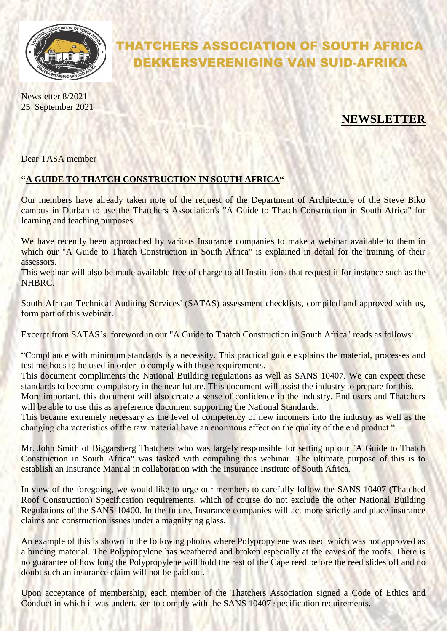

## THATCHERS ASSOCIATION OF SOUTH AFRICA DEKKERSVERENIGING VAN SUID-AFRIKA

Newsletter 8/2021 25 September 2021

## **NEWSLETTER**

Dear TASA member

## **"A GUIDE TO THATCH CONSTRUCTION IN SOUTH AFRICA"**

Our members have already taken note of the request of the Department of Architecture of the Steve Biko campus in Durban to use the Thatchers Association's "A Guide to Thatch Construction in South Africa" for learning and teaching purposes.

We have recently been approached by various Insurance companies to make a webinar available to them in which our "A Guide to Thatch Construction in South Africa" is explained in detail for the training of their assessors.

This webinar will also be made available free of charge to all Institutions that request it for instance such as the NHBRC.

South African Technical Auditing Services' (SATAS) assessment checklists, compiled and approved with us, form part of this webinar.

Excerpt from SATAS's foreword in our "A Guide to Thatch Construction in South Africa" reads as follows:

"Compliance with minimum standards is a necessity. This practical guide explains the material, processes and test methods to be used in order to comply with those requirements.

This document compliments the National Building regulations as well as SANS 10407. We can expect these standards to become compulsory in the near future. This document will assist the industry to prepare for this. More important, this document will also create a sense of confidence in the industry. End users and Thatchers

will be able to use this as a reference document supporting the National Standards.

This became extremely necessary as the level of competency of new incomers into the industry as well as the changing characteristics of the raw material have an enormous effect on the quality of the end product."

Mr. John Smith of Biggarsberg Thatchers who was largely responsible for setting up our "A Guide to Thatch Construction in South Africa" was tasked with compiling this webinar. The ultimate purpose of this is to establish an Insurance Manual in collaboration with the Insurance Institute of South Africa.

In view of the foregoing, we would like to urge our members to carefully follow the SANS 10407 (Thatched Roof Construction) Specification requirements, which of course do not exclude the other National Building Regulations of the SANS 10400. In the future, Insurance companies will act more strictly and place insurance claims and construction issues under a magnifying glass.

An example of this is shown in the following photos where Polypropylene was used which was not approved as a binding material. The Polypropylene has weathered and broken especially at the eaves of the roofs. There is no guarantee of how long the Polypropylene will hold the rest of the Cape reed before the reed slides off and no doubt such an insurance claim will not be paid out.

Upon acceptance of membership, each member of the Thatchers Association signed a Code of Ethics and Conduct in which it was undertaken to comply with the SANS 10407 specification requirements.